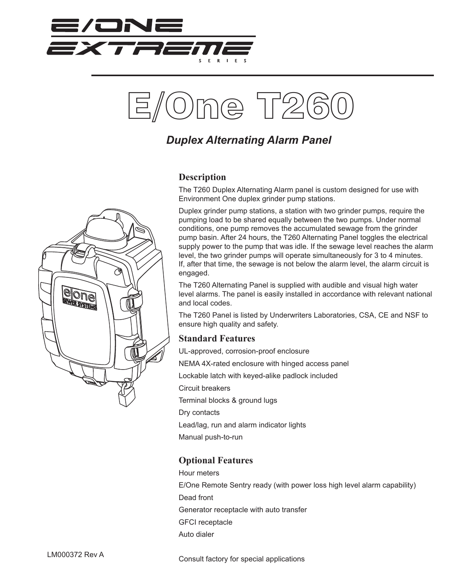



## *Duplex Alternating Alarm Panel*

## **Description**

The T260 Duplex Alternating Alarm panel is custom designed for use with Environment One duplex grinder pump stations.

Duplex grinder pump stations, a station with two grinder pumps, require the pumping load to be shared equally between the two pumps. Under normal conditions, one pump removes the accumulated sewage from the grinder pump basin. After 24 hours, the T260 Alternating Panel toggles the electrical supply power to the pump that was idle. If the sewage level reaches the alarm level, the two grinder pumps will operate simultaneously for 3 to 4 minutes. If, after that time, the sewage is not below the alarm level, the alarm circuit is engaged.

The T260 Alternating Panel is supplied with audible and visual high water level alarms. The panel is easily installed in accordance with relevant national and local codes.

The T260 Panel is listed by Underwriters Laboratories, CSA, CE and NSF to ensure high quality and safety.

## **Standard Features**

UL-approved, corrosion-proof enclosure NEMA 4X-rated enclosure with hinged access panel Lockable latch with keyed-alike padlock included Circuit breakers Terminal blocks & ground lugs Dry contacts Lead/lag, run and alarm indicator lights Manual push-to-run

## **Optional Features**

Hour meters E/One Remote Sentry ready (with power loss high level alarm capability) Dead front Generator receptacle with auto transfer GFCI receptacle Auto dialer

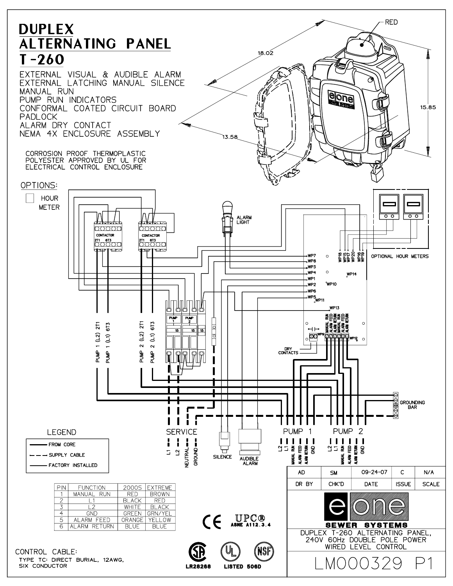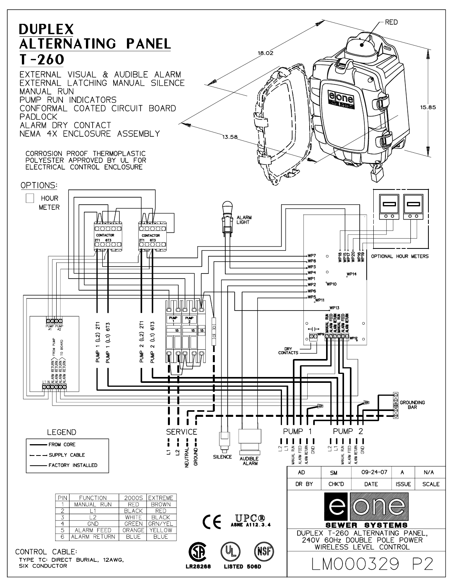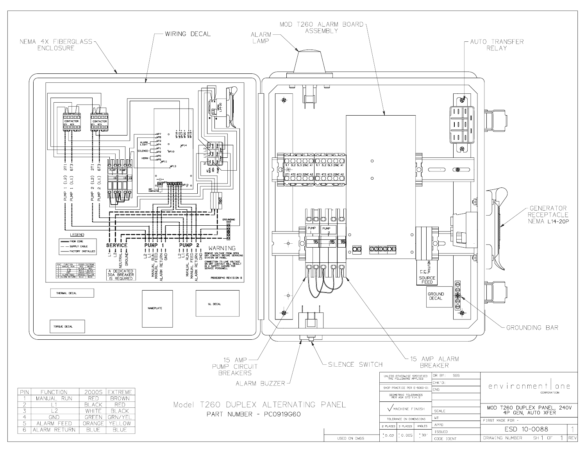